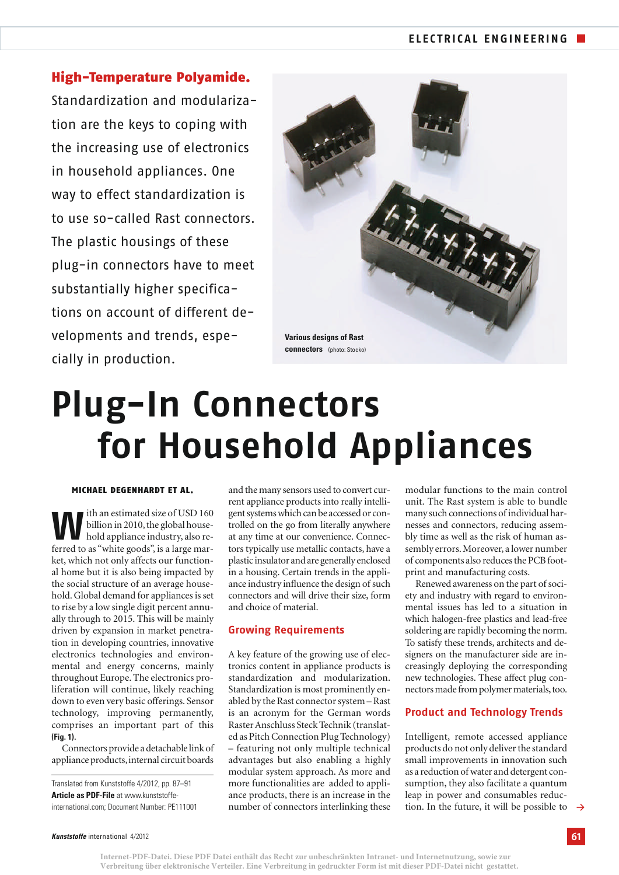High-Temperature Polyamide. Standardization and modularization are the keys to coping with the increasing use of electronics in household appliances. One way to effect standardization is to use so-called Rast connectors. The plastic housings of these plug-in connectors have to meet substantially higher specifications on account of different developments and trends, especially in production.



# **Plug-In Connectors for Household Appliances**

## MICHAEL DEGENHARDT ET AL.

**W**ith an estimated size of USD 160<br>billion in 2010, the global house-<br>hold appliance industry, also rebillion in 2010, the global houseferred to as "white goods", is a large market, which not only affects our functional home but it is also being impacted by the social structure of an average household. Global demand for appliances is set to rise by a low single digit percent annually through to 2015. This will be mainly driven by expansion in market penetration in developing countries, innovative electronics technologies and environmental and energy concerns, mainly throughout Europe. The electronics proliferation will continue, likely reaching down to even very basic offerings. Sensor technology, improving permanently, comprises an important part of this *(Fig. 1)*.

Connectors provide a detachable link of appliance products, internal circuit boards

*Kunststoffe* international 4/2012

and the many sensors used to convert current appliance products into really intelligent systems which can be accessed or controlled on the go from literally anywhere at any time at our convenience. Connectors typically use metallic contacts, have a plastic insulator and are generally enclosed in a housing. Certain trends in the appliance industry influence the design of such connectors and will drive their size, form and choice of material.

## **Growing Requirements**

A key feature of the growing use of electronics content in appliance products is standardization and modularization. Standardization is most prominently enabled by the Rast connector system – Rast is an acronym for the German words Raster Anschluss Steck Technik (translated as Pitch Connection Plug Technology) – featuring not only multiple technical advantages but also enabling a highly modular system approach. As more and more functionalities are added to appliance products, there is an increase in the number of connectors interlinking these

modular functions to the main control unit. The Rast system is able to bundle many such connections of individual harnesses and connectors, reducing assembly time as well as the risk of human assembly errors. Moreover, a lower number of components also reduces the PCB footprint and manufacturing costs.

Renewed awareness on the part of society and industry with regard to environmental issues has led to a situation in which halogen-free plastics and lead-free soldering are rapidly becoming the norm. To satisfy these trends, architects and designers on the manufacturer side are increasingly deploying the corresponding new technologies. These affect plug connectors made from polymer materials, too.

## **Product and Technology Trends**

tion. In the future, it will be possible to  $\rightarrow$ Intelligent, remote accessed appliance products do not only deliver the standard small improvements in innovation such as a reduction of water and detergent consumption, they also facilitate a quantum leap in power and consumables reduc-

Translated from Kunststoffe 4/2012, pp. 87–91 *Article as PDF-File* at www.kunststoffeinternational.com; Document Number: PE111001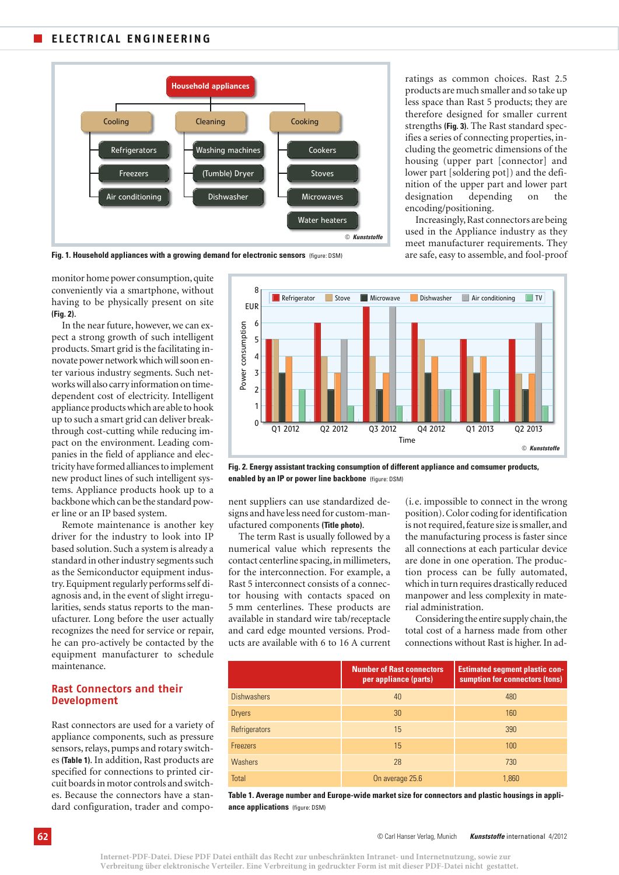#### **ELECTRICAL ENGINEERING**  $\mathbb{R}^n$



ratings as common choices. Rast 2.5 products are much smaller and so take up less space than Rast 5 products; they are therefore designed for smaller current strengths *(Fig. 3)*. The Rast standard specifies a series of connecting properties, including the geometric dimensions of the housing (upper part [connector] and lower part [soldering pot]) and the definition of the upper part and lower part designation depending on the encoding/positioning.

Increasingly, Rast connectors are being used in the Appliance industry as they meet manufacturer requirements. They are safe, easy to assemble, and fool-proof



monitor home power consumption,quite conveniently via a smartphone, without having to be physically present on site *(Fig. 2)*.

In the near future, however, we can expect a strong growth of such intelligent products. Smart grid is the facilitating innovate power network which will soon enter various industry segments. Such networks will also carry information on timedependent cost of electricity. Intelligent appliance products which are able to hook up to such a smart grid can deliver breakthrough cost-cutting while reducing impact on the environment. Leading companies in the field of appliance and electricity have formed alliances to implement new product lines of such intelligent systems. Appliance products hook up to a backbone which can be the standard power line or an IP based system.

Remote maintenance is another key driver for the industry to look into IP based solution. Such a system is already a standard in other industry segments such as the Semiconductor equipment industry. Equipment regularly performs self diagnosis and, in the event of slight irregularities, sends status reports to the manufacturer. Long before the user actually recognizes the need for service or repair, he can pro-actively be contacted by the equipment manufacturer to schedule maintenance.

## **Rast Connectors and their Development**

Rast connectors are used for a variety of appliance components, such as pressure sensors, relays, pumps and rotary switches *(Table 1)*. In addition, Rast products are specified for connections to printed circuit boards in motor controls and switches. Because the connectors have a standard configuration, trader and compo-



*Fig. 2. Energy assistant tracking consumption of different appliance and comsumer products,* **enabled by an IP or power line backbone** (figure: DSM)

nent suppliers can use standardized designs and have less need for custom-manufactured components *(Title photo)*.

The term Rast is usually followed by a numerical value which represents the contact centerline spacing, in millimeters, for the interconnection. For example, a Rast 5 interconnect consists of a connector housing with contacts spaced on 5 mm centerlines. These products are available in standard wire tab/receptacle and card edge mounted versions. Products are available with 6 to 16 A current (i.e. impossible to connect in the wrong position). Color coding for identification is not required, feature size is smaller, and the manufacturing process is faster since all connections at each particular device are done in one operation. The production process can be fully automated, which in turn requires drastically reduced manpower and less complexity in material administration.

Considering the entire supply chain, the total cost of a harness made from other connections without Rast is higher. In ad-

|                    | <b>Number of Rast connectors</b><br>per appliance (parts) | <b>Estimated segment plastic con-</b><br>sumption for connectors (tons) |
|--------------------|-----------------------------------------------------------|-------------------------------------------------------------------------|
| <b>Dishwashers</b> | 40                                                        | 480                                                                     |
| <b>Dryers</b>      | 30                                                        | 160                                                                     |
| Refrigerators      | 15                                                        | 390                                                                     |
| <b>Freezers</b>    | 15                                                        | 100                                                                     |
| <b>Washers</b>     | 28                                                        | 730                                                                     |
| <b>Total</b>       | On average 25.6                                           | 1.860                                                                   |

*Table 1. Average number and Europe-wide market size for connectors and plastic housings in appliance applications* (figure: DSM)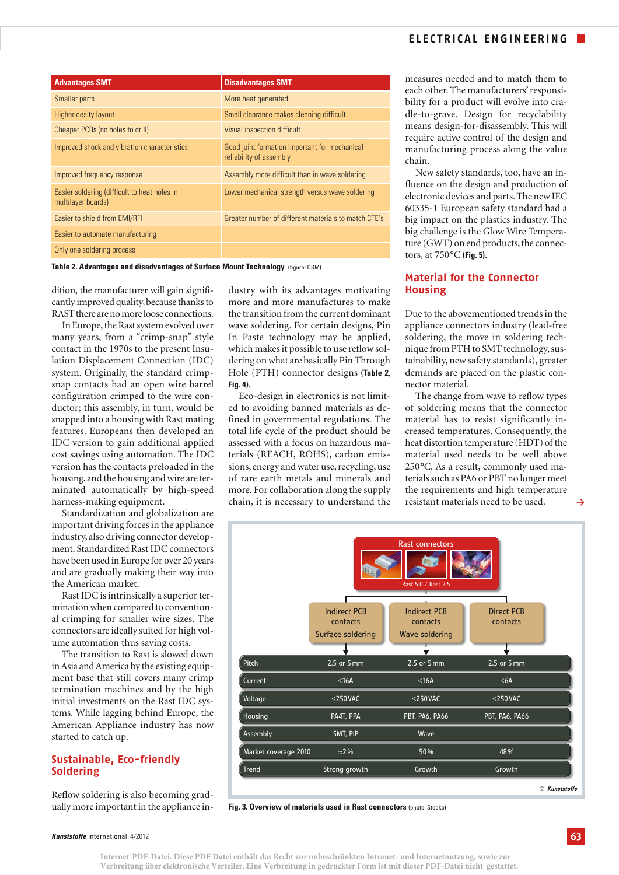| <b>Advantages SMT</b>                                              | <b>Disadvantages SMT</b>                                                 |
|--------------------------------------------------------------------|--------------------------------------------------------------------------|
| Smaller parts                                                      | More heat generated                                                      |
| Higher desity layout                                               | Small clearance makes cleaning difficult                                 |
| Cheaper PCBs (no holes to drill)                                   | Visual inspection difficult                                              |
| Improved shock and vibration characteristics                       | Good joint formation important for mechanical<br>reliability of assembly |
| Improved frequency response                                        | Assembly more difficult than in wave soldering                           |
| Easier soldering (difficult to heat holes in<br>multilayer boards) | Lower mechanical strength versus wave soldering                          |
| Easier to shield from EMI/RFI                                      | Greater number of different materials to match CTE's                     |
| Easier to automate manufacturing                                   |                                                                          |
| Only one soldering process                                         |                                                                          |

**Table 2. Advantages and disadvantages of Surface Mount Technology** (figure: DSM)

dition, the manufacturer will gain significantly improved quality, because thanks to RAST there are no more loose connections.

In Europe, the Rast system evolved over many years, from a "crimp-snap" style contact in the 1970s to the present Insulation Displacement Connection (IDC) system. Originally, the standard crimpsnap contacts had an open wire barrel configuration crimped to the wire conductor; this assembly, in turn, would be snapped into a housing with Rast mating features. Europeans then developed an IDC version to gain additional applied cost savings using automation. The IDC version has the contacts preloaded in the housing,and the housing and wire are terminated automatically by high-speed harness-making equipment.

Standardization and globalization are important driving forces in the appliance industry, also driving connector development. Standardized Rast IDC connectors have been used in Europe for over 20 years and are gradually making their way into the American market.

Rast IDC is intrinsically a superior termination when compared to conventional crimping for smaller wire sizes. The connectors are ideally suited for high volume automation thus saving costs.

The transition to Rast is slowed down in Asia and America by the existing equipment base that still covers many crimp termination machines and by the high initial investments on the Rast IDC systems. While lagging behind Europe, the American Appliance industry has now started to catch up.

# **Sustainable, Eco-friendly Soldering**

Reflow soldering is also becoming gradually more important in the appliance in-

dustry with its advantages motivating more and more manufactures to make the transition from the current dominant wave soldering. For certain designs, Pin In Paste technology may be applied, which makes it possible to use reflow soldering on what are basically Pin Through Hole (PTH) connector designs *(Table 2, Fig. 4)*.

Eco-design in electronics is not limited to avoiding banned materials as defined in governmental regulations. The total life cycle of the product should be assessed with a focus on hazardous materials (REACH, ROHS), carbon emissions, energy and water use, recycling, use of rare earth metals and minerals and more. For collaboration along the supply chain, it is necessary to understand the measures needed and to match them to each other. The manufacturers' responsibility for a product will evolve into cradle-to-grave. Design for recyclability means design-for-disassembly. This will require active control of the design and manufacturing process along the value chain.

New safety standards, too, have an influence on the design and production of electronic devices and parts. The new IEC 60335-1 European safety standard had a big impact on the plastics industry. The big challenge is the Glow Wire Temperature (GWT) on end products, the connectors, at 750°C *(Fig. 5)*.

# **Material for the Connector Housing**

Due to the abovementioned trends in the appliance connectors industry (lead-free soldering, the move in soldering technique from PTH to SMT technology, sustainability, new safety standards), greater demands are placed on the plastic connector material.

The change from wave to reflow types of soldering means that the connector material has to resist significantly increased temperatures. Consequently, the heat distortion temperature (HDT) of the material used needs to be well above 250°C. As a result, commonly used materials such as PA6 or PBT no longer meet the requirements and high temperature resistant materials need to be used.



**Fig. 3. Overview of materials used in Rast connectors** (photo: Stocko)

**>**